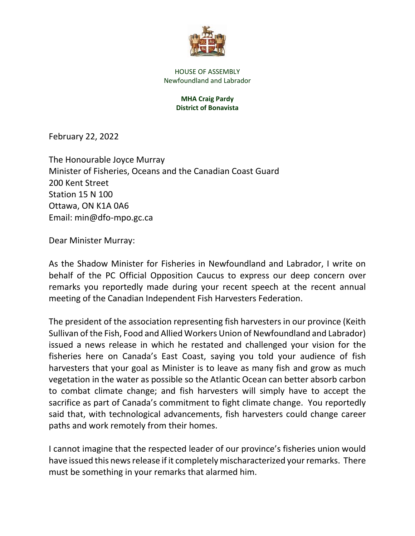

HOUSE OF ASSEMBLY Newfoundland and Labrador

## **MHA Craig Pardy District of Bonavista**

February 22, 2022

The Honourable Joyce Murray Minister of Fisheries, Oceans and the Canadian Coast Guard 200 Kent Street Station 15 N 100 Ottawa, ON K1A 0A6 Email: min@dfo-mpo.gc.ca

Dear Minister Murray:

As the Shadow Minister for Fisheries in Newfoundland and Labrador, I write on behalf of the PC Official Opposition Caucus to express our deep concern over remarks you reportedly made during your recent speech at the recent annual meeting of the Canadian Independent Fish Harvesters Federation.

The president of the association representing fish harvesters in our province (Keith Sullivan of the Fish, Food and Allied Workers Union of Newfoundland and Labrador) issued a news release in which he restated and challenged your vision for the fisheries here on Canada's East Coast, saying you told your audience of fish harvesters that your goal as Minister is to leave as many fish and grow as much vegetation in the water as possible so the Atlantic Ocean can better absorb carbon to combat climate change; and fish harvesters will simply have to accept the sacrifice as part of Canada's commitment to fight climate change. You reportedly said that, with technological advancements, fish harvesters could change career paths and work remotely from their homes.

I cannot imagine that the respected leader of our province's fisheries union would have issued this news release if it completely mischaracterized your remarks. There must be something in your remarks that alarmed him.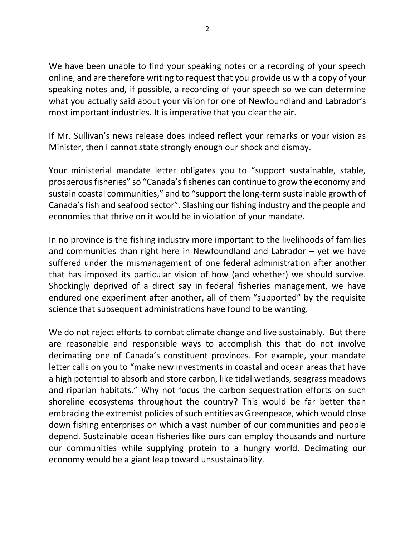We have been unable to find your speaking notes or a recording of your speech online, and are therefore writing to request that you provide us with a copy of your speaking notes and, if possible, a recording of your speech so we can determine what you actually said about your vision for one of Newfoundland and Labrador's most important industries. It is imperative that you clear the air.

If Mr. Sullivan's news release does indeed reflect your remarks or your vision as Minister, then I cannot state strongly enough our shock and dismay.

Your ministerial mandate letter obligates you to "support sustainable, stable, prosperous fisheries" so "Canada's fisheries can continue to grow the economy and sustain coastal communities," and to "support the long-term sustainable growth of Canada's fish and seafood sector". Slashing our fishing industry and the people and economies that thrive on it would be in violation of your mandate.

In no province is the fishing industry more important to the livelihoods of families and communities than right here in Newfoundland and Labrador – yet we have suffered under the mismanagement of one federal administration after another that has imposed its particular vision of how (and whether) we should survive. Shockingly deprived of a direct say in federal fisheries management, we have endured one experiment after another, all of them "supported" by the requisite science that subsequent administrations have found to be wanting.

We do not reject efforts to combat climate change and live sustainably. But there are reasonable and responsible ways to accomplish this that do not involve decimating one of Canada's constituent provinces. For example, your mandate letter calls on you to "make new investments in coastal and ocean areas that have a high potential to absorb and store carbon, like tidal wetlands, seagrass meadows and riparian habitats." Why not focus the carbon sequestration efforts on such shoreline ecosystems throughout the country? This would be far better than embracing the extremist policies of such entities as Greenpeace, which would close down fishing enterprises on which a vast number of our communities and people depend. Sustainable ocean fisheries like ours can employ thousands and nurture our communities while supplying protein to a hungry world. Decimating our economy would be a giant leap toward unsustainability.